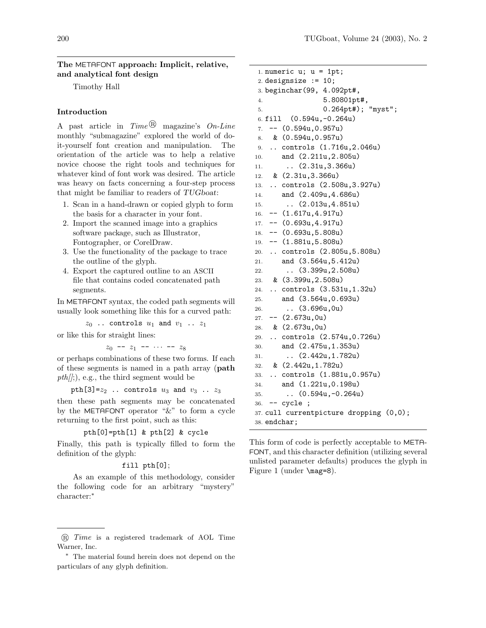The METAFONT approach: Implicit, relative, and analytical font design

Timothy Hall

## Introduction

A past article in  $Time^{(B)}$  magazine's  $On$ -Line monthly "submagazine" explored the world of doit-yourself font creation and manipulation. The orientation of the article was to help a relative novice choose the right tools and techniques for whatever kind of font work was desired. The article was heavy on facts concerning a four-step process that might be familiar to readers of TUGboat:

- 1. Scan in a hand-drawn or copied glyph to form the basis for a character in your font.
- 2. Import the scanned image into a graphics software package, such as Illustrator, Fontographer, or CorelDraw.
- 3. Use the functionality of the package to trace the outline of the glyph.
- 4. Export the captured outline to an ASCII file that contains coded concatenated path segments.

In METAFONT syntax, the coded path segments will usually look something like this for a curved path:

 $z_0$  .. controls  $u_1$  and  $v_1$  ..  $z_1$ 

or like this for straight lines:

 $z_0$  --  $z_1$  --  $\cdots$  --  $z_8$ 

or perhaps combinations of these two forms. If each of these segments is named in a path array (path  $pth/);$ , e.g., the third segment would be

pth[3]= $z_2$  .. controls  $u_3$  and  $v_3$  ..  $z_3$ 

then these path segments may be concatenated by the METAFONT operator "&" to form a cycle returning to the first point, such as this:

```
pth[0]=pth[1] & pth[2] & cycle
```
Finally, this path is typically filled to form the definition of the glyph:

## fill pth[0];

As an example of this methodology, consider the following code for an arbitrary "mystery" character:<sup>∗</sup>

```
1. numeric u; u = 1pt;
2. designsize := 10;
3. beginchar(99, 4.092pt#,
4. 5.80801pt#,
5. 0.264pt#); "myst";
6. fill (0.594u,-0.264u)
7. -- (0.594u,0.957u)
8. & (0.594u,0.957u)
9. .. controls (1.716u,2.046u)
10. and (2.211u,2.805u)
11. .. (2.31u, 3.366u)
12. & (2.31u,3.366u)
13. .. controls (2.508u,3.927u)
14. and (2.409u,4.686u)
15. .. (2.013u,4.851u)
16. -- (1.617u,4.917u)
17. -- (0.693u,4.917u)
18. -- (0.693u,5.808u)
19. -- (1.881u,5.808u)
20. .. controls (2.805u,5.808u)
21. and (3.564u,5.412u)
22. .. (3.399u,2.508u)
23. & (3.399u,2.508u)
24. .. controls (3.531u,1.32u)
25. and (3.564u,0.693u)
26. .. (3.696u,0u)
27. - - (2.673u, 0u)28. & (2.673u,0u)
29. .. controls (2.574u,0.726u)
30. and (2.475u,1.353u)
31. .. (2.442u, 1.782u)32. & (2.442u,1.782u)
33. .. controls (1.881u,0.957u)
34. and (1.221u,0.198u)
35. \ldots (0.594u, -0.264u)36. -- cycle ;
37. cull currentpicture dropping (0,0);
38. endchar;
```
This form of code is perfectly acceptable to META-FONT, and this character definition (utilizing several unlisted parameter defaults) produces the glyph in Figure 1 (under \mag=8).

 $R$  Time is a registered trademark of AOL Time Warner, Inc.

<sup>∗</sup> The material found herein does not depend on the particulars of any glyph definition.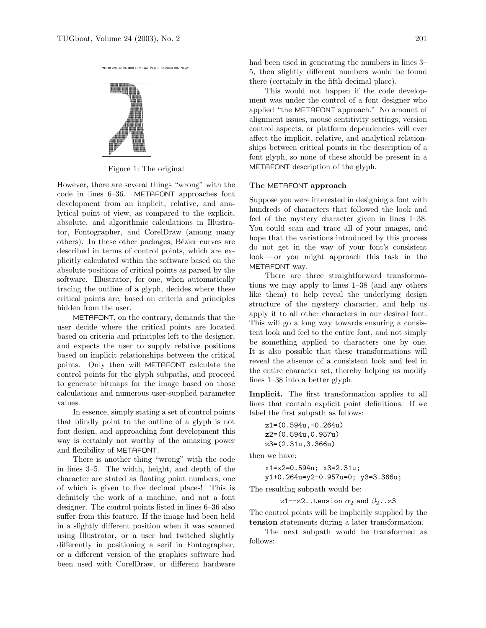

Figure 1: The original

MCTACONT output 2002 11 05:1256 Page 1 Character 248 "myst"

However, there are several things "wrong" with the code in lines 6–36. METAFONT approaches font development from an implicit, relative, and analytical point of view, as compared to the explicit, absolute, and algorithmic calculations in Illustrator, Fontographer, and CorelDraw (among many others). In these other packages, Bézier curves are described in terms of control points, which are explicitly calculated within the software based on the absolute positions of critical points as parsed by the software. Illustrator, for one, when automatically tracing the outline of a glyph, decides where these critical points are, based on criteria and principles hidden from the user.

METAFONT, on the contrary, demands that the user decide where the critical points are located based on criteria and principles left to the designer, and expects the user to supply relative positions based on implicit relationships between the critical points. Only then will METAFONT calculate the control points for the glyph subpaths, and proceed to generate bitmaps for the image based on those calculations and numerous user-supplied parameter values.

In essence, simply stating a set of control points that blindly point to the outline of a glyph is not font design, and approaching font development this way is certainly not worthy of the amazing power and flexibility of METAFONT.

There is another thing "wrong" with the code in lines 3–5. The width, height, and depth of the character are stated as floating point numbers, one of which is given to five decimal places! This is definitely the work of a machine, and not a font designer. The control points listed in lines 6–36 also suffer from this feature. If the image had been held in a slightly different position when it was scanned using Illustrator, or a user had twitched slightly differently in positioning a serif in Fontographer, or a different version of the graphics software had been used with CorelDraw, or different hardware

had been used in generating the numbers in lines 3– 5, then slightly different numbers would be found there (certainly in the fifth decimal place).

This would not happen if the code development was under the control of a font designer who applied "the METAFONT approach." No amount of alignment issues, mouse sentitivity settings, version control aspects, or platform dependencies will ever affect the implicit, relative, and analytical relationships between critical points in the description of a font glyph, so none of these should be present in a METAFONT description of the glyph.

## The METAFONT approach

Suppose you were interested in designing a font with hundreds of characters that followed the look and feel of the mystery character given in lines 1–38. You could scan and trace all of your images, and hope that the variations introduced by this process do not get in the way of your font's consistent look— or you might approach this task in the METAFONT way.

There are three straightforward transformations we may apply to lines 1–38 (and any others like them) to help reveal the underlying design structure of the mystery character, and help us apply it to all other characters in our desired font. This will go a long way towards ensuring a consistent look and feel to the entire font, and not simply be something applied to characters one by one. It is also possible that these transformations will reveal the absence of a consistent look and feel in the entire character set, thereby helping us modify lines 1–38 into a better glyph.

Implicit. The first transformation applies to all lines that contain explicit point definitions. If we label the first subpath as follows:

```
z1=(0.594u,-0.264u)
z2=(0.594u,0.957u)
z3=(2.31u,3.366u)
```
then we have:

x1=x2=0.594u; x3=2.31u; y1+0.264u=y2-0.957u=0; y3=3.366u;

The resulting subpath would be:

z1--z2..tension  $\alpha_2$  and  $\beta_2$ ..z3

The control points will be implicitly supplied by the tension statements during a later transformation.

The next subpath would be transformed as follows: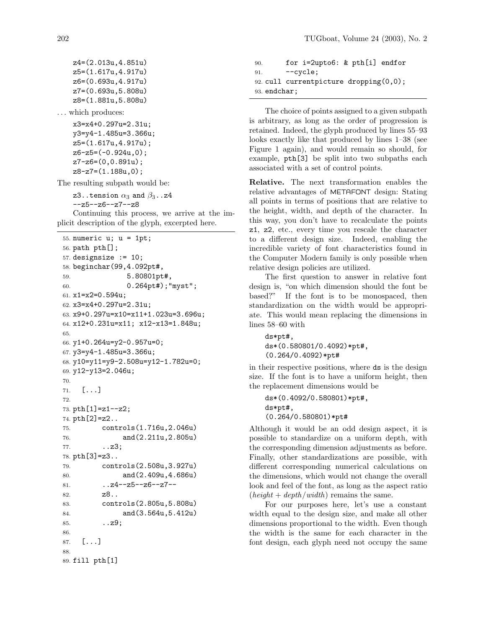z4=(2.013u,4.851u) z5=(1.617u,4.917u) z6=(0.693u,4.917u) z7=(0.693u,5.808u) z8=(1.881u,5.808u) . . . which produces:

> x3=x4+0.297u=2.31u; y3=y4-1.485u=3.366u; z5=(1.617u,4.917u); z6-z5=(-0.924u,0); z7-z6=(0,0.891u); z8-z7=(1.188u,0);

The resulting subpath would be:

z3..tension  $\alpha_3$  and  $\beta_3$ ..z4 --z5--z6--z7--z8

Continuing this process, we arrive at the implicit description of the glyph, excerpted here.

```
55. numeric u; u = 1pt;
56. path pth[];
57. designsize := 10;
58. beginchar(99,4.092pt#,
59. 5.80801pt#,
60. 0.264pt#);"myst";
61. x1=x2=0.594u;
62. x3=x4+0.297u=2.31u;
63. x9+0.297u=x10=x11+1.023u=3.696u;
64. x12+0.231u=x11; x12-x13=1.848u;
65.
66. y1+0.264u=y2-0.957u=0;
67. y3=y4-1.485u=3.366u;
68. y10=y11=y9-2.508u=y12-1.782u=0;
69. y12-y13=2.046u;
70.
71. [...]
72.
73. pth[1]=z1--z2;
74. pth[2]=z2..
75. controls(1.716u,2.046u)
76. and(2.211u,2.805u)
77. ...23;
78. pth[3]=z3..
79. controls(2.508u,3.927u)
80. and(2.409u,4.686u)
81. ... z4 - z5 - z6 - z7 - z82. z8..
83. controls(2.805u,5.808u)
84. and(3.564u,5.412u)
85. ..z9;
86.
87. [...]
88.
89. fill pth[1]
```

```
90. for i=2upto6: & pth[i] endfor
91. --cycle;92. cull currentpicture dropping(0,0);
93. endchar;
```
The choice of points assigned to a given subpath is arbitrary, as long as the order of progression is retained. Indeed, the glyph produced by lines 55–93 looks exactly like that produced by lines 1–38 (see Figure 1 again), and would remain so should, for example, pth[3] be split into two subpaths each associated with a set of control points.

Relative. The next transformation enables the relative advantages of METAFONT design: Stating all points in terms of positions that are relative to the height, width, and depth of the character. In this way, you don't have to recalculate the points z1, z2, etc., every time you rescale the character to a different design size. Indeed, enabling the incredible variety of font characteristics found in the Computer Modern family is only possible when relative design policies are utilized.

The first question to answer in relative font design is, "on which dimension should the font be based?" If the font is to be monospaced, then standardization on the width would be appropriate. This would mean replacing the dimensions in lines 58–60 with

```
ds*pt#,
ds*(0.580801/0.4092)*pt#,
(0.264/0.4092)*pt#
```
in their respective positions, where ds is the design size. If the font is to have a uniform height, then the replacement dimensions would be

```
ds*(0.4092/0.580801)*pt#,
ds*pt#,
(0.264/0.580801)*pt#
```
Although it would be an odd design aspect, it is possible to standardize on a uniform depth, with the corresponding dimension adjustments as before. Finally, other standardizations are possible, with different corresponding numerical calculations on the dimensions, which would not change the overall look and feel of the font, as long as the aspect ratio  $(height + depth/width)$  remains the same.

For our purposes here, let's use a constant width equal to the design size, and make all other dimensions proportional to the width. Even though the width is the same for each character in the font design, each glyph need not occupy the same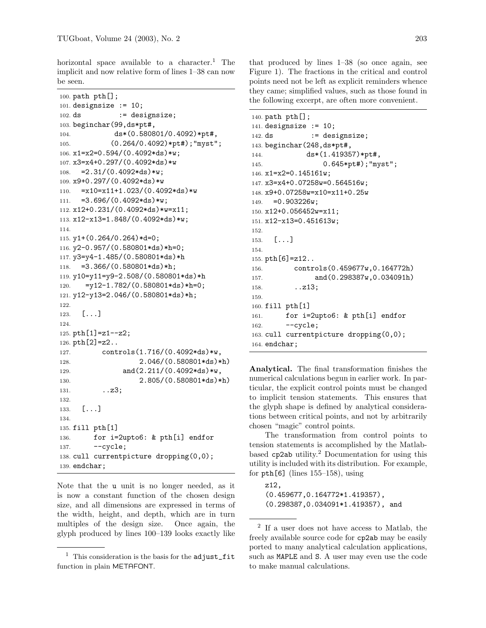horizontal space available to a character.<sup>1</sup> The implicit and now relative form of lines 1–38 can now be seen.

```
100. path pth[];
101. designsize := 10;
102. ds := designsize;
103. beginchar(99,ds*pt#,
104. ds*(0.580801/0.4092)*pt#,
105. (0.264/0.4092)*pt#);"myst";
106. x1=x2=0.594/(0.4092*ds)*w;
107. x3=x4+0.297/(0.4092*ds)*w
108. = 2.31/(0.4092*ds)*w;
109. x9+0.297/(0.4092*ds)*w
110. =x10=x11+1.023/(0.4092*ds)*w111. =3.696/(0.4092*ds)*w;112. x12+0.231/(0.4092*ds)*w=x11;
113. x12-x13=1.848/(0.4092*ds)*w;
114.
115. y1+(0.264/0.264)*d=0;
116. y2-0.957/(0.580801*ds)*h=0;
117. y3=y4-1.485/(0.580801*ds)*h
118. =3.366/(0.580801*ds)*h;119. y10=y11=y9-2.508/(0.580801*ds)*h
120. =y12-1.782/(0.580801*ds)*h=0;121. y12-y13=2.046/(0.580801*ds)*h;
122.
123. [...]124.
125. pth[1]=z1--z2;
126. pth[2] = z2..
127. controls(1.716/(0.4092*ds)*w,
128. 2.046/(0.580801*ds)*h)
129. and(2.211/(0.4092*ds)*w,
130. 2.805/(0.580801*ds)*h)
131. ... 23;132.
133. [...]134.
135. fill pth[1]
136. for i=2upto6: & pth[i] endfor
137. --cycle;138. cull currentpicture dropping(0,0);
139. endchar;
```
Note that the u unit is no longer needed, as it is now a constant function of the chosen design size, and all dimensions are expressed in terms of the width, height, and depth, which are in turn multiples of the design size. Once again, the glyph produced by lines 100–139 looks exactly like

that produced by lines 1–38 (so once again, see Figure 1). The fractions in the critical and control points need not be left as explicit reminders whence they came; simplified values, such as those found in the following excerpt, are often more convenient.

```
140. path pth[];
141. designsize := 10;
142. ds := designsize;
143. beginchar(248,ds*pt#,
144. ds*(1.419357)*pt#,
145. 0.645*pt#);"myst";
146. x1=x2=0.145161w;
147. x3=x4+0.07258w=0.564516w;
148. x9+0.07258w=x10=x11+0.25w
149. = 0.903226w;150. x12+0.056452w=x11;
151. x12-x13=0.451613w;
152.
153. [...]154.
155. pth[6]=z12..
156. controls(0.459677w,0.164772h)
157. and(0.298387w,0.034091h)
158. . . z13;
159.
160. fill pth[1]
161. for i=2upto6: & pth[i] endfor
162. \qquad \qquad \text{-cycle};163. cull currentpicture dropping(0,0);
164. endchar;
```
Analytical. The final transformation finishes the numerical calculations begun in earlier work. In particular, the explicit control points must be changed to implicit tension statements. This ensures that the glyph shape is defined by analytical considerations between critical points, and not by arbitrarily chosen "magic" control points.

The transformation from control points to tension statements is accomplished by the Matlabbased  $cp2ab$  utility.<sup>2</sup> Documentation for using this utility is included with its distribution. For example, for  $pth[6]$  (lines 155–158), using

z12, (0.459677,0.164772\*1.419357), (0.298387,0.034091\*1.419357), and

 $<sup>1</sup>$  This consideration is the basis for the adjust\_fit</sup> function in plain METAFONT.

<sup>2</sup> If a user does not have access to Matlab, the freely available source code for cp2ab may be easily ported to many analytical calculation applications, such as MAPLE and S. A user may even use the code to make manual calculations.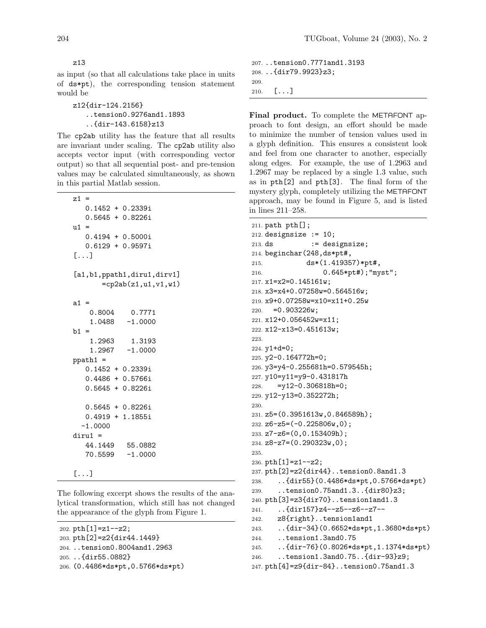z13

as input (so that all calculations take place in units of ds\*pt), the corresponding tension statement would be

```
z12{dir-124.2156}
   ..tension0.9276and1.1893
   ..{dir-143.6158}z13
```
The cp2ab utility has the feature that all results are invariant under scaling. The cp2ab utility also accepts vector input (with corresponding vector output) so that all sequential post- and pre-tension values may be calculated simultaneously, as shown in this partial Matlab session.

```
z1 =0.1452 + 0.2339i
   0.5645 + 0.8226i
u1 =0.4194 + 0.5000i
   0.6129 + 0.9597i
[...]
[a1,b1,ppath1,diru1,dirv1]
       =cp2ab(z1, u1, v1, w1)a1 =0.8004 0.7771
    1.0488 -1.0000
h1 =1.2963 1.3193
    1.2967 -1.0000
ppath1 =
   0.1452 + 0.2339i
   0.4486 + 0.5766i
   0.5645 + 0.8226i
   0.5645 + 0.8226i
   0.4919 + 1.1855i
  -1.0000
diru1 =
   44.1449 55.0882
   70.5599 -1.0000
[...]
```
The following excerpt shows the results of the analytical transformation, which still has not changed the appearance of the glyph from Figure 1.

```
202. pth[1]=z1--z2;
203. pth[2]=z2{dir44.1449}
204. ..tension0.8004and1.2963
```

```
205. ..{dir55.0882}
```

```
206. (0.4486*ds*pt,0.5766*ds*pt)
```

```
207. ..tension0.7771and1.3193
208. ..{dir79.9923}z3;
209.
210. [\ldots]
```
Final product. To complete the METAFONT approach to font design, an effort should be made to minimize the number of tension values used in a glyph definition. This ensures a consistent look and feel from one character to another, especially along edges. For example, the use of 1.2963 and 1.2967 may be replaced by a single 1.3 value, such as in pth[2] and pth[3]. The final form of the mystery glyph, completely utilizing the METAFONT approach, may be found in Figure 5, and is listed in lines 211–258.

```
211. path pth[];
212. designsize := 10;213. ds := designsize;
214. beginchar(248,ds*pt#,
215. ds*(1.419357)*pt#,
216. 0.645*pt#);"myst";
217. x1=x2=0.145161w;
218. x3=x4+0.07258w=0.564516w;
219. x9+0.07258w=x10=x11+0.25w
220. =0.903226w;221. x12+0.056452w=x11;
222. x12-x13=0.451613w;
223.
224. y1+d=0;
225. y2-0.164772h=0;
226. y3=y4-0.255681h=0.579545h;
227. y10=y11=y9-0.431817h
228. =y12-0.306818h=0;
229. y12-y13=0.352272h;
230.
231. z5=(0.3951613w,0.846589h);
232. \text{Z}6 - \text{Z}5 = (-0.225806w, 0);233. z7-z6=(0,0.153409h);
234. z8-z7=(0.290323w,0);
235.
236. pth[1]=z1--z2;
237. pth[2]=z2{dir44}..tension0.8and1.3
238. ..{dir55}(0.4486*ds*pt,0.5766*ds*pt)
239. ..tension0.75and1.3..{dir80}z3;
240. pth[3]=z3{dir70}..tension1and1.3
241. ..{dir157}z4--z5--z6--z7--
242. z8{right}..tension1and1
243. ..{dir-34}(0.6652*ds*pt,1.3680*ds*pt)
244. ..tension1.3and0.75
245. ..{dir-76}(0.8026*ds*pt,1.1374*ds*pt)
246. ..tension1.3and0.75..{dir-93}z9;
247. pth[4]=z9{dir-84}..tension0.75and1.3
```